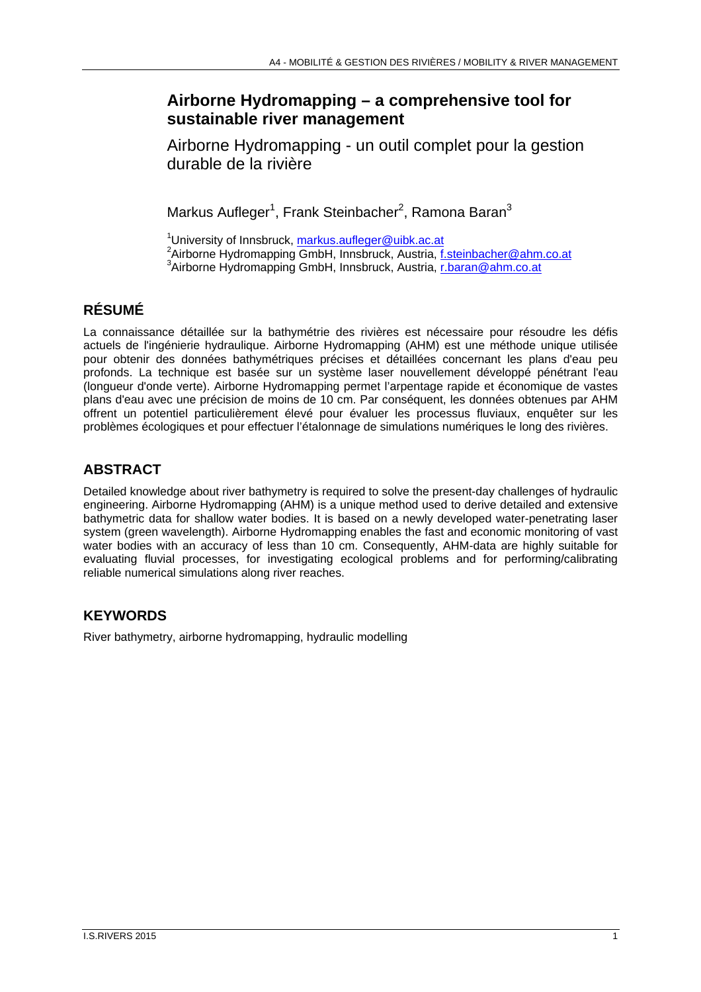## **Airborne Hydromapping – a comprehensive tool for sustainable river management**

Airborne Hydromapping - un outil complet pour la gestion durable de la rivière

Markus Aufleger<sup>1</sup>, Frank Steinbacher<sup>2</sup>, Ramona Baran $^3$ 

<sup>1</sup>University of Innsbruck,  $\frac{\text{markus.aufleger@uibk.ac.at}}{\text{?Airborn@ustrìo.f}}$ <sup>2</sup> Airborne Hydromapping GmbH, Innsbruck, Austria, f.steinbacher@ahm.co.at <sup>3</sup>Airborne Hydromapping GmbH, Innsbruck, Austria, *r.baran@ahm.co.at* 

# **RÉSUMÉ**

La connaissance détaillée sur la bathymétrie des rivières est nécessaire pour résoudre les défis actuels de l'ingénierie hydraulique. Airborne Hydromapping (AHM) est une méthode unique utilisée pour obtenir des données bathymétriques précises et détaillées concernant les plans d'eau peu profonds. La technique est basée sur un système laser nouvellement développé pénétrant l'eau (longueur d'onde verte). Airborne Hydromapping permet l'arpentage rapide et économique de vastes plans d'eau avec une précision de moins de 10 cm. Par conséquent, les données obtenues par AHM offrent un potentiel particulièrement élevé pour évaluer les processus fluviaux, enquêter sur les problèmes écologiques et pour effectuer l'étalonnage de simulations numériques le long des rivières.

## **ABSTRACT**

Detailed knowledge about river bathymetry is required to solve the present-day challenges of hydraulic engineering. Airborne Hydromapping (AHM) is a unique method used to derive detailed and extensive bathymetric data for shallow water bodies. It is based on a newly developed water-penetrating laser system (green wavelength). Airborne Hydromapping enables the fast and economic monitoring of vast water bodies with an accuracy of less than 10 cm. Consequently, AHM-data are highly suitable for evaluating fluvial processes, for investigating ecological problems and for performing/calibrating reliable numerical simulations along river reaches.

### **KEYWORDS**

River bathymetry, airborne hydromapping, hydraulic modelling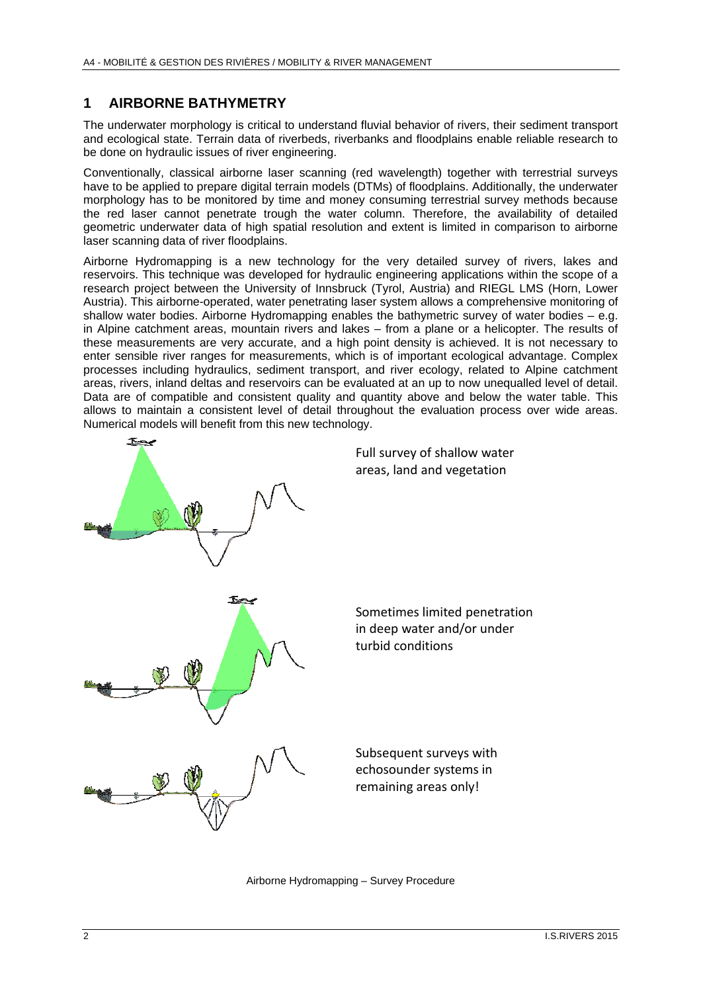#### **1 AIRBORNE BATHYMETRY**

The underwater morphology is critical to understand fluvial behavior of rivers, their sediment transport and ecological state. Terrain data of riverbeds, riverbanks and floodplains enable reliable research to be done on hydraulic issues of river engineering.

Conventionally, classical airborne laser scanning (red wavelength) together with terrestrial surveys have to be applied to prepare digital terrain models (DTMs) of floodplains. Additionally, the underwater morphology has to be monitored by time and money consuming terrestrial survey methods because the red laser cannot penetrate trough the water column. Therefore, the availability of detailed geometric underwater data of high spatial resolution and extent is limited in comparison to airborne laser scanning data of river floodplains.

Airborne Hydromapping is a new technology for the very detailed survey of rivers, lakes and reservoirs. This technique was developed for hydraulic engineering applications within the scope of a research project between the University of Innsbruck (Tyrol, Austria) and RIEGL LMS (Horn, Lower Austria). This airborne-operated, water penetrating laser system allows a comprehensive monitoring of shallow water bodies. Airborne Hydromapping enables the bathymetric survey of water bodies – e.g. in Alpine catchment areas, mountain rivers and lakes – from a plane or a helicopter. The results of these measurements are very accurate, and a high point density is achieved. It is not necessary to enter sensible river ranges for measurements, which is of important ecological advantage. Complex processes including hydraulics, sediment transport, and river ecology, related to Alpine catchment areas, rivers, inland deltas and reservoirs can be evaluated at an up to now unequalled level of detail. Data are of compatible and consistent quality and quantity above and below the water table. This allows to maintain a consistent level of detail throughout the evaluation process over wide areas. Numerical models will benefit from this new technology.



Airborne Hydromapping – Survey Procedure